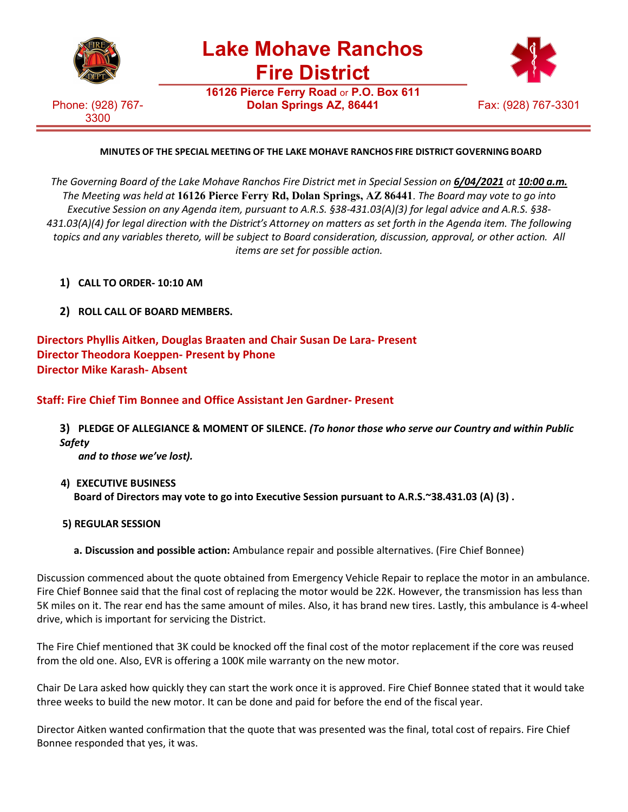

**Lake Mohave Ranchos Fire District**

**16126 Pierce Ferry Road** or **P.O. Box 611**

Phone: (928) 767- 3300



## **MINUTES OF THE SPECIAL MEETING OF THE LAKE MOHAVE RANCHOS FIRE DISTRICT GOVERNING BOARD**

*The Governing Board of the Lake Mohave Ranchos Fire District met in Special Session on 6/04/2021 at 10:00 a.m. The Meeting was held at* **16126 Pierce Ferry Rd, Dolan Springs, AZ 86441**. *The Board may vote to go into Executive Session on any Agenda item, pursuant to A.R.S. §38-431.03(A)(3) for legal advice and A.R.S. §38- 431.03(A)(4) for legal direction with the District's Attorney on matters as set forth in the Agenda item. The following topics and any variables thereto, will be subject to Board consideration, discussion, approval, or other action. All items are set for possible action.*

- **1) CALL TO ORDER- 10:10 AM**
- **2) ROLL CALL OF BOARD MEMBERS.**

**Directors Phyllis Aitken, Douglas Braaten and Chair Susan De Lara- Present Director Theodora Koeppen- Present by Phone Director Mike Karash- Absent**

**Staff: Fire Chief Tim Bonnee and Office Assistant Jen Gardner- Present**

**3) PLEDGE OF ALLEGIANCE & MOMENT OF SILENCE.** *(To honor those who serve our Country and within Public Safety*

*and to those we've lost).*

- **4) EXECUTIVE BUSINESS Board of Directors may vote to go into Executive Session pursuant to A.R.S.~38.431.03 (A) (3) .**
- **5) REGULAR SESSION**
	- **a. Discussion and possible action:** Ambulance repair and possible alternatives. (Fire Chief Bonnee)

Discussion commenced about the quote obtained from Emergency Vehicle Repair to replace the motor in an ambulance. Fire Chief Bonnee said that the final cost of replacing the motor would be 22K. However, the transmission has less than 5K miles on it. The rear end has the same amount of miles. Also, it has brand new tires. Lastly, this ambulance is 4-wheel drive, which is important for servicing the District.

The Fire Chief mentioned that 3K could be knocked off the final cost of the motor replacement if the core was reused from the old one. Also, EVR is offering a 100K mile warranty on the new motor.

Chair De Lara asked how quickly they can start the work once it is approved. Fire Chief Bonnee stated that it would take three weeks to build the new motor. It can be done and paid for before the end of the fiscal year.

Director Aitken wanted confirmation that the quote that was presented was the final, total cost of repairs. Fire Chief Bonnee responded that yes, it was.